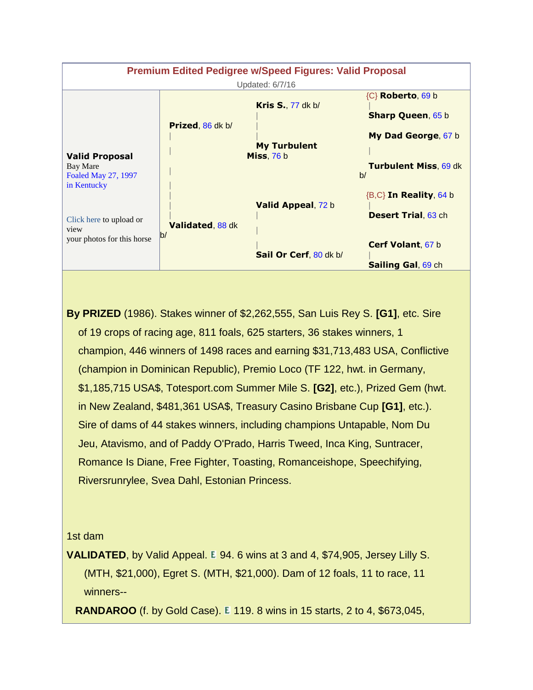

**By PRIZED** (1986). Stakes winner of \$2,262,555, San Luis Rey S. **[G1]**, etc. Sire of 19 crops of racing age, 811 foals, 625 starters, 36 stakes winners, 1 champion, 446 winners of 1498 races and earning \$31,713,483 USA, Conflictive (champion in Dominican Republic), Premio Loco (TF 122, hwt. in Germany, \$1,185,715 USA\$, Totesport.com Summer Mile S. **[G2]**, etc.), Prized Gem (hwt. in New Zealand, \$481,361 USA\$, Treasury Casino Brisbane Cup **[G1]**, etc.). Sire of dams of 44 stakes winners, including champions Untapable, Nom Du Jeu, Atavismo, and of Paddy O'Prado, Harris Tweed, Inca King, Suntracer, Romance Is Diane, Free Fighter, Toasting, Romanceishope, Speechifying, Riversrunrylee, Svea Dahl, Estonian Princess.

## 1st dam

**VALIDATED**, by Valid Appeal. E 94. 6 wins at 3 and 4, \$74,905, Jersey Lilly S. (MTH, \$21,000), Egret S. (MTH, \$21,000). Dam of 12 foals, 11 to race, 11 winners--

**RANDAROO** (f. by Gold Case). **E** 119. 8 wins in 15 starts, 2 to 4, \$673,045,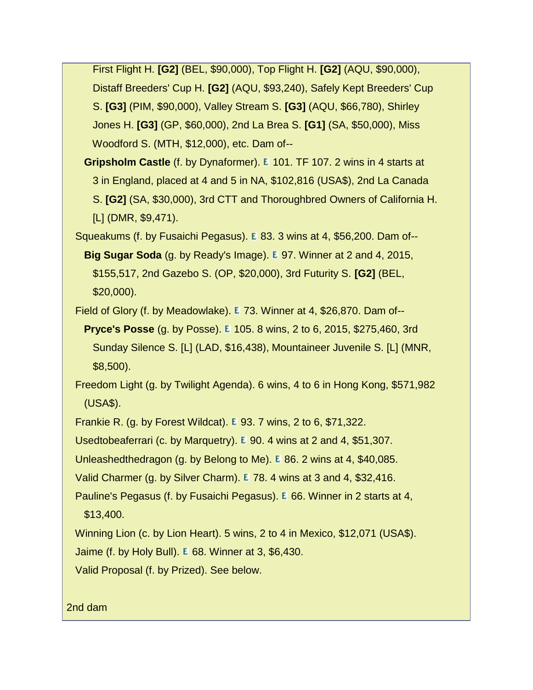First Flight H. **[G2]** (BEL, \$90,000), Top Flight H. **[G2]** (AQU, \$90,000), Distaff Breeders' Cup H. **[G2]** (AQU, \$93,240), Safely Kept Breeders' Cup S. **[G3]** (PIM, \$90,000), Valley Stream S. **[G3]** (AQU, \$66,780), Shirley Jones H. **[G3]** (GP, \$60,000), 2nd La Brea S. **[G1]** (SA, \$50,000), Miss Woodford S. (MTH, \$12,000), etc. Dam of--

**Gripsholm Castle** (f. by Dynaformer). E 101. TF 107. 2 wins in 4 starts at 3 in England, placed at 4 and 5 in NA, \$102,816 (USA\$), 2nd La Canada S. **[G2]** (SA, \$30,000), 3rd CTT and Thoroughbred Owners of California H. [L] (DMR, \$9,471).

Squeakums (f. by Fusaichi Pegasus). 83. 3 wins at 4, \$56,200. Dam of--

**Big Sugar Soda** (g. by Ready's Image). **E** 97. Winner at 2 and 4, 2015, \$155,517, 2nd Gazebo S. (OP, \$20,000), 3rd Futurity S. **[G2]** (BEL, \$20,000).

Field of Glory (f. by Meadowlake). 73. Winner at 4, \$26,870. Dam of--

**Pryce's Posse** (g. by Posse). E 105. 8 wins, 2 to 6, 2015, \$275,460, 3rd Sunday Silence S. [L] (LAD, \$16,438), Mountaineer Juvenile S. [L] (MNR, \$8,500).

 Freedom Light (g. by Twilight Agenda). 6 wins, 4 to 6 in Hong Kong, \$571,982 (USA\$).

Frankie R. (g. by Forest Wildcat). **E** 93. 7 wins, 2 to 6, \$71,322.

Usedtobeaferrari (c. by Marquetry). E 90. 4 wins at 2 and 4, \$51,307.

Unleashedthedragon (g. by Belong to Me). E 86. 2 wins at 4, \$40,085.

Valid Charmer (g. by Silver Charm). E 78. 4 wins at 3 and 4, \$32,416.

Pauline's Pegasus (f. by Fusaichi Pegasus). E 66. Winner in 2 starts at 4, \$13,400.

Winning Lion (c. by Lion Heart). 5 wins, 2 to 4 in Mexico, \$12,071 (USA\$).

Jaime (f. by Holy Bull). **E** 68. Winner at 3, \$6,430.

Valid Proposal (f. by Prized). See below.

2nd dam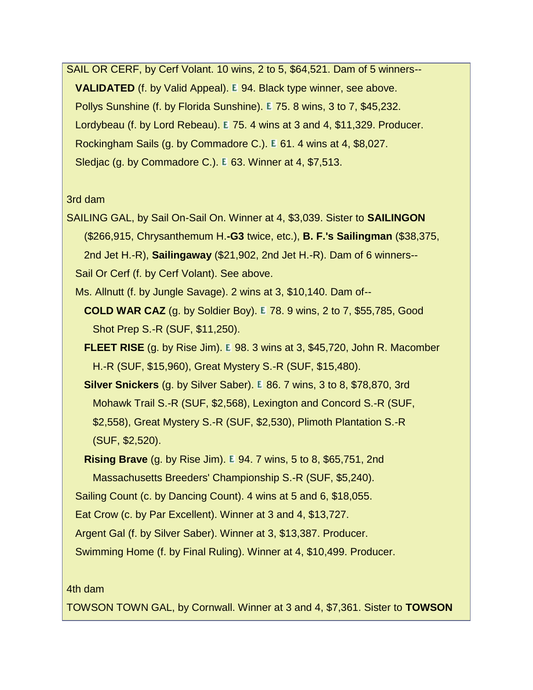SAIL OR CERF, by Cerf Volant. 10 wins, 2 to 5, \$64,521. Dam of 5 winners-- **VALIDATED** (f. by Valid Appeal). **E** 94. Black type winner, see above. Pollys Sunshine (f. by Florida Sunshine). E 75. 8 wins, 3 to 7, \$45,232. Lordybeau (f. by Lord Rebeau). E 75. 4 wins at 3 and 4, \$11,329. Producer. Rockingham Sails (g. by Commadore C.). E 61. 4 wins at 4, \$8,027. Sledjac (g. by Commadore C.).  $E$  63. Winner at 4, \$7,513.

## 3rd dam

- SAILING GAL, by Sail On-Sail On. Winner at 4, \$3,039. Sister to **SAILINGON** (\$266,915, Chrysanthemum H.**-G3** twice, etc.), **B. F.'s Sailingman** (\$38,375, 2nd Jet H.-R), **Sailingaway** (\$21,902, 2nd Jet H.-R). Dam of 6 winners-- Sail Or Cerf (f. by Cerf Volant). See above.
	- Ms. Allnutt (f. by Jungle Savage). 2 wins at 3, \$10,140. Dam of--
		- **COLD WAR CAZ** (g. by Soldier Boy). **E** 78. 9 wins, 2 to 7, \$55,785, Good Shot Prep S.-R (SUF, \$11,250).
		- **FLEET RISE** (g. by Rise Jim). E 98. 3 wins at 3, \$45,720, John R. Macomber H.-R (SUF, \$15,960), Great Mystery S.-R (SUF, \$15,480).
		- **Silver Snickers** (g. by Silver Saber). **E** 86. 7 wins, 3 to 8, \$78,870, 3rd Mohawk Trail S.-R (SUF, \$2,568), Lexington and Concord S.-R (SUF, \$2,558), Great Mystery S.-R (SUF, \$2,530), Plimoth Plantation S.-R (SUF, \$2,520).
		- **Rising Brave** (g. by Rise Jim). **E** 94. 7 wins, 5 to 8, \$65,751, 2nd
		- Massachusetts Breeders' Championship S.-R (SUF, \$5,240).

Sailing Count (c. by Dancing Count). 4 wins at 5 and 6, \$18,055.

Eat Crow (c. by Par Excellent). Winner at 3 and 4, \$13,727.

Argent Gal (f. by Silver Saber). Winner at 3, \$13,387. Producer.

Swimming Home (f. by Final Ruling). Winner at 4, \$10,499. Producer.

## 4th dam

TOWSON TOWN GAL, by Cornwall. Winner at 3 and 4, \$7,361. Sister to **TOWSON**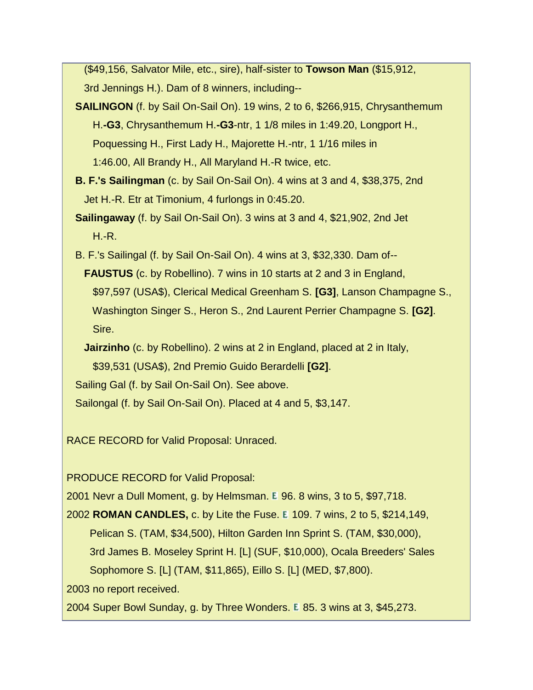(\$49,156, Salvator Mile, etc., sire), half-sister to **Towson Man** (\$15,912, 3rd Jennings H.). Dam of 8 winners, including--

- **SAILINGON** (f. by Sail On-Sail On). 19 wins, 2 to 6, \$266,915, Chrysanthemum H.**-G3**, Chrysanthemum H.**-G3**-ntr, 1 1/8 miles in 1:49.20, Longport H., Poquessing H., First Lady H., Majorette H.-ntr, 1 1/16 miles in 1:46.00, All Brandy H., All Maryland H.-R twice, etc.
- **B. F.'s Sailingman** (c. by Sail On-Sail On). 4 wins at 3 and 4, \$38,375, 2nd Jet H.-R. Etr at Timonium, 4 furlongs in 0:45.20.
- **Sailingaway** (f. by Sail On-Sail On). 3 wins at 3 and 4, \$21,902, 2nd Jet  $H.-R.$
- B. F.'s Sailingal (f. by Sail On-Sail On). 4 wins at 3, \$32,330. Dam of-- **FAUSTUS** (c. by Robellino). 7 wins in 10 starts at 2 and 3 in England, \$97,597 (USA\$), Clerical Medical Greenham S. **[G3]**, Lanson Champagne S., Washington Singer S., Heron S., 2nd Laurent Perrier Champagne S. **[G2]**. Sire.
	- **Jairzinho** (c. by Robellino). 2 wins at 2 in England, placed at 2 in Italy, \$39,531 (USA\$), 2nd Premio Guido Berardelli **[G2]**.

Sailing Gal (f. by Sail On-Sail On). See above.

Sailongal (f. by Sail On-Sail On). Placed at 4 and 5, \$3,147.

RACE RECORD for Valid Proposal: Unraced.

PRODUCE RECORD for Valid Proposal:

2001 Nevr a Dull Moment, g. by Helmsman.  $E$  96. 8 wins, 3 to 5, \$97,718.

2002 **ROMAN CANDLES**, c. by Lite the Fuse. E 109. 7 wins, 2 to 5, \$214,149, Pelican S. (TAM, \$34,500), Hilton Garden Inn Sprint S. (TAM, \$30,000), 3rd James B. Moseley Sprint H. [L] (SUF, \$10,000), Ocala Breeders' Sales Sophomore S. [L] (TAM, \$11,865), Eillo S. [L] (MED, \$7,800).

2003 no report received.

2004 Super Bowl Sunday, g. by Three Wonders. E 85. 3 wins at 3, \$45,273.